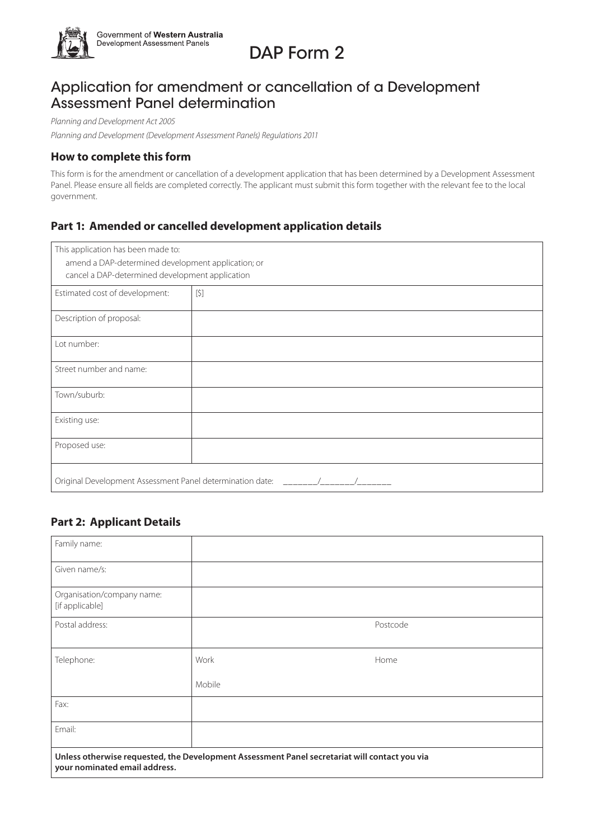

# DAP Form 2

# Application for amendment or cancellation of a Development Assessment Panel determination

*Planning and Development Act 2005*

*Planning and Development (Development Assessment Panels) Regulations 2011*

#### **How to complete this form**

This form is for the amendment or cancellation of a development application that has been determined by a Development Assessment Panel. Please ensure all fields are completed correctly. The applicant must submit this form together with the relevant fee to the local government.

## **Part 1: Amended or cancelled development application details**

| This application has been made to:                        |       |  |
|-----------------------------------------------------------|-------|--|
| amend a DAP-determined development application; or        |       |  |
| cancel a DAP-determined development application           |       |  |
|                                                           |       |  |
| Estimated cost of development:                            | $[5]$ |  |
| Description of proposal:                                  |       |  |
|                                                           |       |  |
| Lot number:                                               |       |  |
| Street number and name:                                   |       |  |
| Town/suburb:                                              |       |  |
| Existing use:                                             |       |  |
| Proposed use:                                             |       |  |
| Original Development Assessment Panel determination date: |       |  |

### **Part 2: Applicant Details**

| Family name:                                                                                                                   |        |          |  |  |
|--------------------------------------------------------------------------------------------------------------------------------|--------|----------|--|--|
| Given name/s:                                                                                                                  |        |          |  |  |
| Organisation/company name:<br>[if applicable]                                                                                  |        |          |  |  |
| Postal address:                                                                                                                |        | Postcode |  |  |
| Telephone:                                                                                                                     | Work   | Home     |  |  |
|                                                                                                                                | Mobile |          |  |  |
| Fax:                                                                                                                           |        |          |  |  |
| Email:                                                                                                                         |        |          |  |  |
| Unless otherwise requested, the Development Assessment Panel secretariat will contact you via<br>your nominated email address. |        |          |  |  |